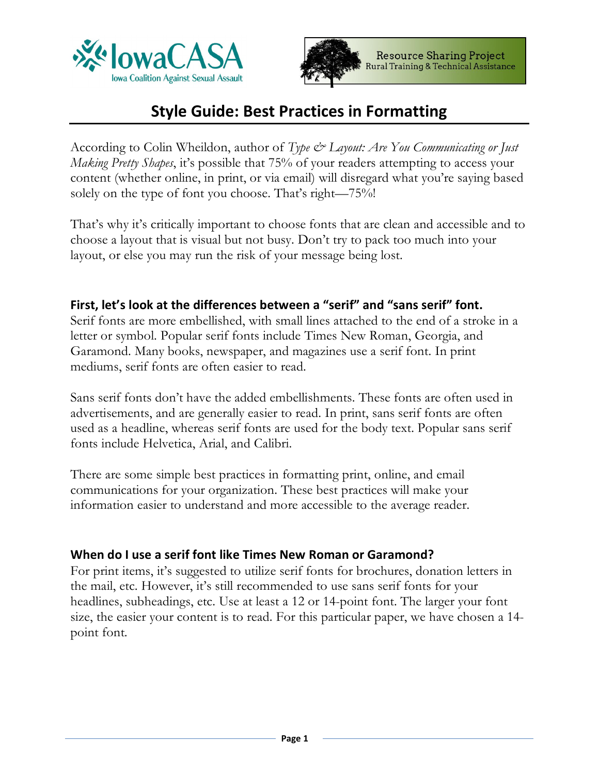



# **Style Guide: Best Practices in Formatting**

According to Colin Wheildon, author of *Type & Layout: Are You Communicating or Just Making Pretty Shapes*, it's possible that 75% of your readers attempting to access your content (whether online, in print, or via email) will disregard what you're saying based solely on the type of font you choose. That's right—75%!

That's why it's critically important to choose fonts that are clean and accessible and to choose a layout that is visual but not busy. Don't try to pack too much into your layout, or else you may run the risk of your message being lost.

# **First, let's look at the differences between a "serif" and "sans serif" font.**

Serif fonts are more embellished, with small lines attached to the end of a stroke in a letter or symbol. Popular serif fonts include Times New Roman, Georgia, and Garamond. Many books, newspaper, and magazines use a serif font. In print mediums, serif fonts are often easier to read.

Sans serif fonts don't have the added embellishments. These fonts are often used in advertisements, and are generally easier to read. In print, sans serif fonts are often used as a headline, whereas serif fonts are used for the body text. Popular sans serif fonts include Helvetica, Arial, and Calibri.

There are some simple best practices in formatting print, online, and email communications for your organization. These best practices will make your information easier to understand and more accessible to the average reader.

### **When do I use a serif font like Times New Roman or Garamond?**

For print items, it's suggested to utilize serif fonts for brochures, donation letters in the mail, etc. However, it's still recommended to use sans serif fonts for your headlines, subheadings, etc. Use at least a 12 or 14-point font. The larger your font size, the easier your content is to read. For this particular paper, we have chosen a 14 point font.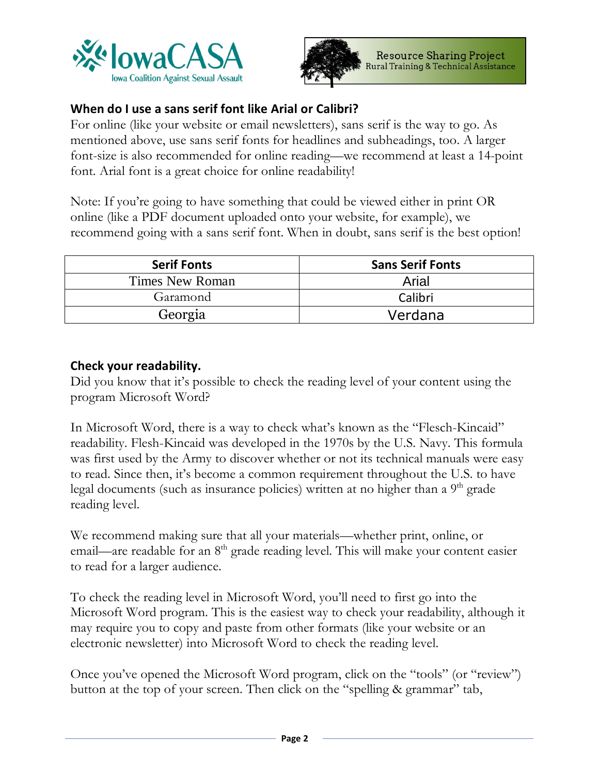



# **When do I use a sans serif font like Arial or Calibri?**

For online (like your website or email newsletters), sans serif is the way to go. As mentioned above, use sans serif fonts for headlines and subheadings, too. A larger font-size is also recommended for online reading—we recommend at least a 14-point font. Arial font is a great choice for online readability!

Note: If you're going to have something that could be viewed either in print OR online (like a PDF document uploaded onto your website, for example), we recommend going with a sans serif font. When in doubt, sans serif is the best option!

| <b>Serif Fonts</b> | <b>Sans Serif Fonts</b> |
|--------------------|-------------------------|
| Times New Roman    | Arial                   |
| Garamond           | Calibri                 |
| Georgia            | Verdana                 |

### **Check your readability.**

Did you know that it's possible to check the reading level of your content using the program Microsoft Word?

In Microsoft Word, there is a way to check what's known as the "Flesch-Kincaid" readability. Flesh-Kincaid was developed in the 1970s by the U.S. Navy. This formula was first used by the Army to discover whether or not its technical manuals were easy to read. Since then, it's become a common requirement throughout the U.S. to have legal documents (such as insurance policies) written at no higher than a  $9<sup>th</sup>$  grade reading level.

We recommend making sure that all your materials—whether print, online, or email—are readable for an  $8<sup>th</sup>$  grade reading level. This will make your content easier to read for a larger audience.

To check the reading level in Microsoft Word, you'll need to first go into the Microsoft Word program. This is the easiest way to check your readability, although it may require you to copy and paste from other formats (like your website or an electronic newsletter) into Microsoft Word to check the reading level.

Once you've opened the Microsoft Word program, click on the "tools" (or "review") button at the top of your screen. Then click on the "spelling & grammar" tab,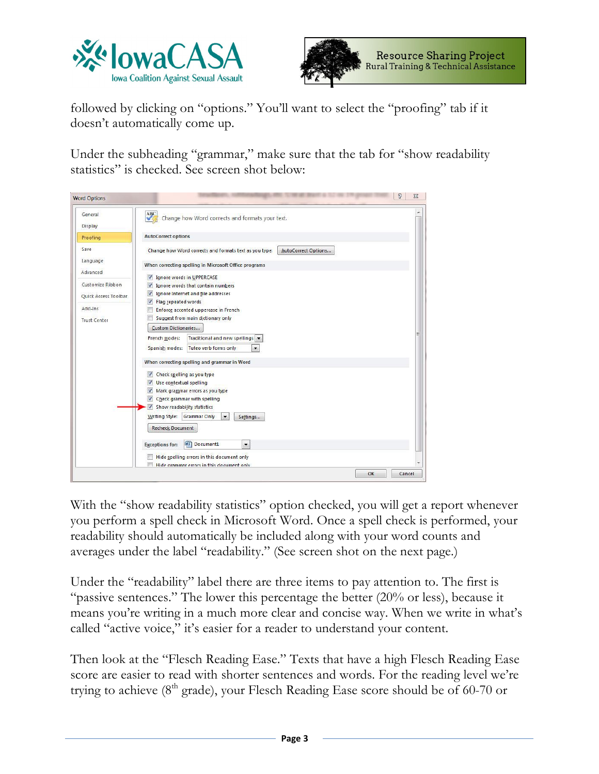



followed by clicking on "options." You'll want to select the "proofing" tab if it doesn't automatically come up.

Under the subheading "grammar," make sure that the tab for "show readability statistics" is checked. See screen shot below:

| General                     | ABC<br>Change how Word corrects and formats your text.                                  |  |
|-----------------------------|-----------------------------------------------------------------------------------------|--|
| <b>Display</b>              |                                                                                         |  |
| Proofing                    | <b>AutoCorrect options</b>                                                              |  |
| Save                        | Change how Word corrects and formats text as you type:<br>AutoCorrect Options           |  |
| Language                    | When correcting spelling in Microsoft Office programs                                   |  |
| Advanced                    | $\overline{\mathbf{v}}$<br>Ignore words in UPPERCASE                                    |  |
| Customize Ribbon            | Ignore words that contain numbers<br>$\blacktriangledown$                               |  |
| <b>Ouick Access Toolbar</b> | Ignore Internet and file addresses<br>$\sqrt{2}$                                        |  |
| Add-Ins                     | Flag repeated words<br>$\sqrt{2}$<br>Enforce accented uppercase in French               |  |
|                             | Suggest from main dictionary only                                                       |  |
| <b>Trust Center</b>         | <b>Custom Dictionaries</b>                                                              |  |
|                             | Traditional and new spellings v<br>French modes:                                        |  |
|                             | Spanish modes:<br>Tuteo verb forms only<br>$\overline{\phantom{a}}$                     |  |
|                             |                                                                                         |  |
|                             | When correcting spelling and grammar in Word                                            |  |
|                             | Check spelling as you type<br>V                                                         |  |
|                             | Use contextual spelling<br>V                                                            |  |
|                             | Mark grammar errors as you type<br>V<br>Check grammar with spelling<br>V                |  |
|                             | Show readability statistics<br>$\checkmark$                                             |  |
|                             | Writing Style:<br><b>Grammar Only</b><br>۰<br>Settings                                  |  |
|                             | <b>Recheck Document</b>                                                                 |  |
|                             | 四<br>Document1<br><b>Exceptions for:</b><br>$\overline{\phantom{a}}$                    |  |
|                             |                                                                                         |  |
|                             | Hide spelling errors in this document only<br>Hide grammar errors in this document only |  |

With the "show readability statistics" option checked, you will get a report whenever you perform a spell check in Microsoft Word. Once a spell check is performed, your readability should automatically be included along with your word counts and averages under the label "readability." (See screen shot on the next page.)

Under the "readability" label there are three items to pay attention to. The first is "passive sentences." The lower this percentage the better (20% or less), because it means you're writing in a much more clear and concise way. When we write in what's called "active voice," it's easier for a reader to understand your content.

Then look at the "Flesch Reading Ease." Texts that have a high Flesch Reading Ease score are easier to read with shorter sentences and words. For the reading level we're trying to achieve (8<sup>th</sup> grade), your Flesch Reading Ease score should be of 60-70 or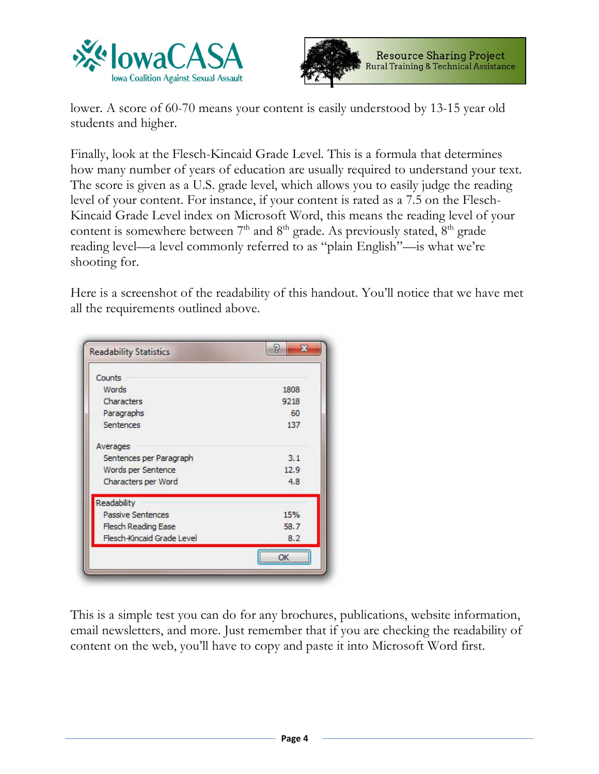



lower. A score of 60-70 means your content is easily understood by 13-15 year old students and higher.

Finally, look at the Flesch-Kincaid Grade Level. This is a formula that determines how many number of years of education are usually required to understand your text. The score is given as a U.S. grade level, which allows you to easily judge the reading level of your content. For instance, if your content is rated as a 7.5 on the Flesch-Kincaid Grade Level index on Microsoft Word, this means the reading level of your content is somewhere between  $7<sup>th</sup>$  and  $8<sup>th</sup>$  grade. As previously stated,  $8<sup>th</sup>$  grade reading level—a level commonly referred to as "plain English"—is what we're shooting for.

Here is a screenshot of the readability of this handout. You'll notice that we have met all the requirements outlined above.

| 1808 |
|------|
| 9218 |
| 60   |
| 137  |
|      |
| 3.1  |
| 12.9 |
| 4.8  |
|      |
| 15%  |
| 58.7 |
| 8.2  |
|      |

This is a simple test you can do for any brochures, publications, website information, email newsletters, and more. Just remember that if you are checking the readability of content on the web, you'll have to copy and paste it into Microsoft Word first.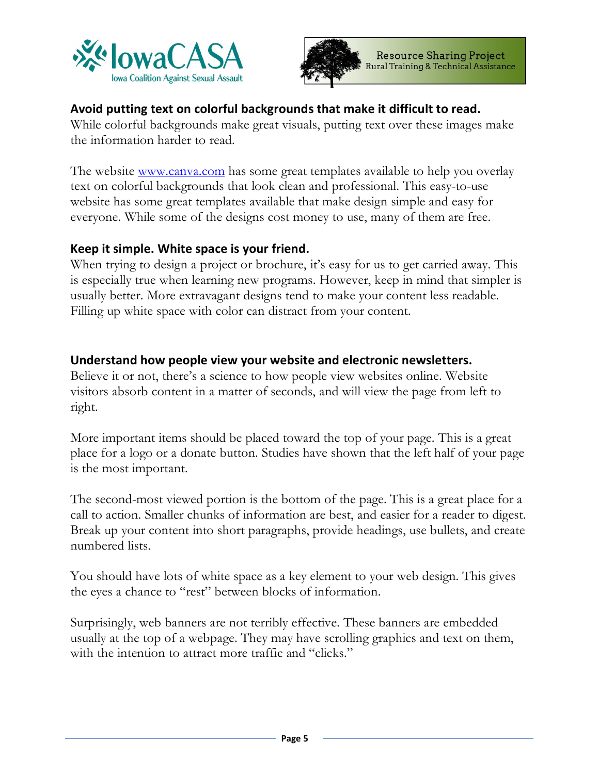



# **Avoid putting text on colorful backgrounds that make it difficult to read.**

While colorful backgrounds make great visuals, putting text over these images make the information harder to read.

The website <u>www.canva.com</u> has some great templates available to help you overlay text on colorful backgrounds that look clean and professional. This easy-to-use website has some great templates available that make design simple and easy for everyone. While some of the designs cost money to use, many of them are free.

### **Keep it simple. White space is your friend.**

When trying to design a project or brochure, it's easy for us to get carried away. This is especially true when learning new programs. However, keep in mind that simpler is usually better. More extravagant designs tend to make your content less readable. Filling up white space with color can distract from your content.

# **Understand how people view your website and electronic newsletters.**

Believe it or not, there's a science to how people view websites online. Website visitors absorb content in a matter of seconds, and will view the page from left to right.

More important items should be placed toward the top of your page. This is a great place for a logo or a donate button. Studies have shown that the left half of your page is the most important.

The second-most viewed portion is the bottom of the page. This is a great place for a call to action. Smaller chunks of information are best, and easier for a reader to digest. Break up your content into short paragraphs, provide headings, use bullets, and create numbered lists.

You should have lots of white space as a key element to your web design. This gives the eyes a chance to "rest" between blocks of information.

Surprisingly, web banners are not terribly effective. These banners are embedded usually at the top of a webpage. They may have scrolling graphics and text on them, with the intention to attract more traffic and "clicks."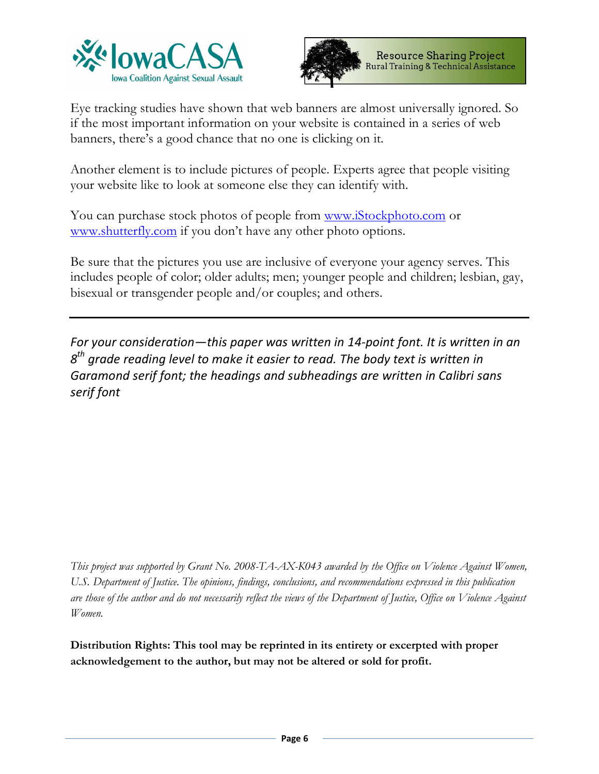



Eye tracking studies have shown that web banners are almost universally ignored. So if the most important information on your website is contained in a series of web banners, there's a good chance that no one is clicking on it.

Another element is to include pictures of people. Experts agree that people visiting your website like to look at someone else they can identify with.

You can purchase stock photos of people from www.iStockphoto.com or www.shutterfly.com if you don't have any other photo options.

Be sure that the pictures you use are inclusive of everyone your agency serves. This includes people of color; older adults; men; younger people and children; lesbian, gay, bisexual or transgender people and/or couples; and others.

*For your consideration—this paper was written in 14-point font. It is written in an 8th grade reading level to make it easier to read. The body text is written in Garamond serif font; the headings and subheadings are written in Calibri sans serif font*

*This project was supported by Grant No. 2008-TA-AX-K043 awarded by the Office on Violence Against Women, U.S. Department of Justice. The opinions, findings, conclusions, and recommendations expressed in this publication are those of the author and do not necessarily reflect the views of the Department of Justice, Office on Violence Against Women.*

**Distribution Rights: This tool may be reprinted in its entirety or excerpted with proper acknowledgement to the author, but may not be altered or sold for profit.**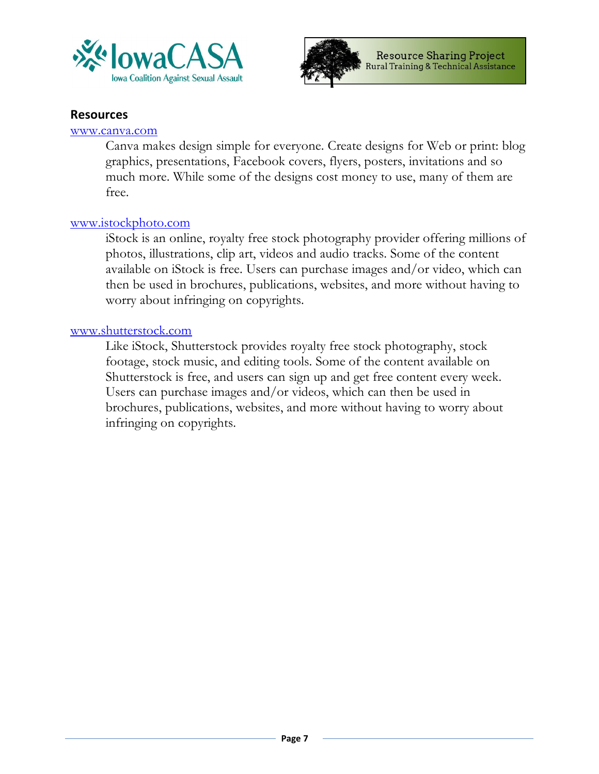



#### **Resources**

#### www.canva.com

Canva makes design simple for everyone. Create designs for Web or print: blog graphics, presentations, Facebook covers, flyers, posters, invitations and so much more. While some of the designs cost money to use, many of them are free.

#### www.istockphoto.com

iStock is an online, royalty free stock photography provider offering millions of photos, illustrations, clip art, videos and audio tracks. Some of the content available on iStock is free. Users can purchase images and/or video, which can then be used in brochures, publications, websites, and more without having to worry about infringing on copyrights.

#### www.shutterstock.com

Like iStock, Shutterstock provides royalty free stock photography, stock footage, stock music, and editing tools. Some of the content available on Shutterstock is free, and users can sign up and get free content every week. Users can purchase images and/or videos, which can then be used in brochures, publications, websites, and more without having to worry about infringing on copyrights.